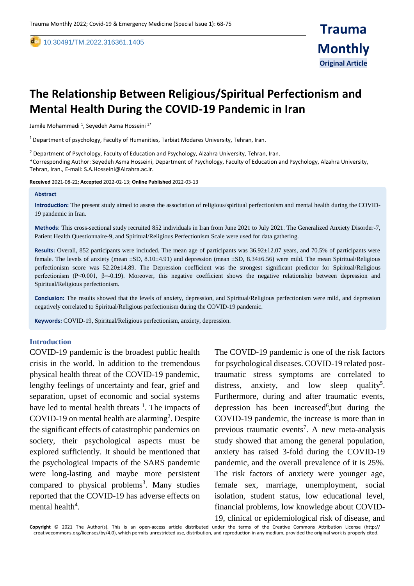[10.30491/TM.2022.316361.1405](https://dx.doi.org/10.30491/tm.2021.264991.1218)

# **The Relationship Between Religious/Spiritual Perfectionism and Mental Health During the COVID-19 Pandemic in Iran**

Jamile Mohammadi <sup>1</sup>, Seyedeh Asma Hosseini <sup>2\*</sup>

 $1$  Department of psychology, Faculty of Humanities, Tarbiat Modares University, Tehran, Iran.

<sup>2</sup> Department of Psychology, Faculty of Education and Psychology, Alzahra University, Tehran, Iran.

\*Corresponding Author: Seyedeh Asma Hosseini, Department of Psychology, Faculty of Education and Psychology, Alzahra University, Tehran, Iran., E-mail: S.A.Hosseini@Alzahra.ac.ir.

**Received** 2021-08-22; **Accepted** 2022-02-13; **Online Published** 2022-03-13

#### **Abstract**

,

**Introduction:** The present study aimed to assess the association of religious/spiritual perfectionism and mental health during the COVID-19 pandemic in Iran.

**Methods**: This cross-sectional study recruited 852 individuals in Iran from June 2021 to July 2021. The Generalized Anxiety Disorder-7, Patient Health Questionnaire-9, and Spiritual/Religious Perfectionism Scale were used for data gathering.

**Results:** Overall, 852 participants were included. The mean age of participants was 36.92±12.07 years, and 70.5% of participants were female. The levels of anxiety (mean ±SD, 8.10±4.91) and depression (mean ±SD, 8.34±6.56) were mild. The mean Spiritual/Religious perfectionism score was 52.20±14.89. The Depression coefficient was the strongest significant predictor for Spiritual/Religious perfectionism (P<0.001, β=-0.19). Moreover, this negative coefficient shows the negative relationship between depression and Spiritual/Religious perfectionism.

**Conclusion:** The results showed that the levels of anxiety, depression, and Spiritual/Religious perfectionism were mild, and depression negatively correlated to Spiritual/Religious perfectionism during the COVID-19 pandemic.

**Keywords:** COVID-19, Spiritual/Religious perfectionism, anxiety, depression.

#### **Introduction**

COVID-19 pandemic is the broadest public health crisis in the world. In addition to the tremendous physical health threat of the COVID-19 pandemic, lengthy feelings of uncertainty and fear, grief and separation, upset of economic and social systems have led to mental health threats  $\frac{1}{1}$ . The impacts of COVID-19 on mental health are alarming<sup>2</sup>. Despite the significant effects of catastrophic pandemics on society, their psychological aspects must be explored sufficiently. It should be mentioned that the psychological impacts of the SARS pandemic were long-lasting and maybe more persistent compared to physical problems<sup>3</sup>. Many studies reported that the COVID-19 has adverse effects on mental health<sup>4</sup>.

The COVID-19 pandemic is one of the risk factors for psychological diseases. COVID-19 related posttraumatic stress symptoms are correlated to distress, anxiety, and low sleep quality<sup>5</sup>. Furthermore, during and after traumatic events, depression has been increased<sup>6</sup>, but during the COVID-19 pandemic, the increase is more than in previous traumatic events<sup>7</sup>. A new meta-analysis study showed that among the general population, anxiety has raised 3-fold during the COVID-19 pandemic, and the overall prevalence of it is 25%. The risk factors of anxiety were younger age, female sex, marriage, unemployment, social isolation, student status, low educational level, financial problems, low knowledge about COVID-19, clinical or epidemiological risk of disease, and

**Copyright** © 2021 The Author(s). This is an open-access article distributed under the terms of the Creative Commons Attribution License (http:// creativecommons.org/licenses/by/4.0), which permits unrestricted use, distribution, and reproduction in any medium, provided the original work is properly cited.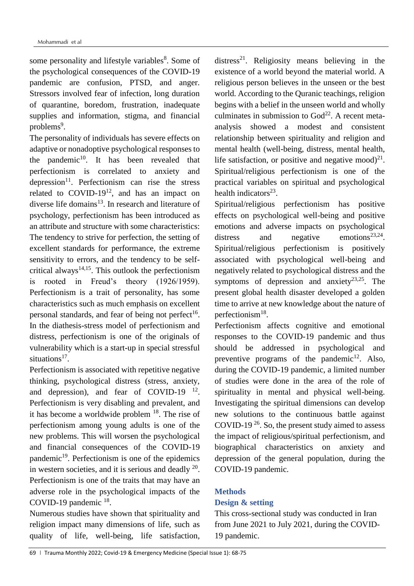some personality and lifestyle variables<sup>8</sup>. Some of the psychological consequences of the COVID-19 pandemic are confusion, PTSD, and anger. Stressors involved fear of infection, long duration of quarantine, boredom, frustration, inadequate supplies and information, stigma, and financial problems<sup>9</sup>.

The personality of individuals has severe effects on adaptive or nonadoptive psychological responses to the pandemic $10$ . It has been revealed that perfectionism is correlated to anxiety and depression<sup>11</sup>. Perfectionism can rise the stress related to  $COVID-19<sup>12</sup>$ , and has an impact on diverse life domains $13$ . In research and literature of psychology, perfectionism has been introduced as an attribute and structure with some characteristics: The tendency to strive for perfection, the setting of excellent standards for performance, the extreme sensitivity to errors, and the tendency to be selfcritical always<sup>14,15</sup>. This outlook the perfectionism is rooted in Freud's theory (1926/1959). Perfectionism is a trait of personality, has some characteristics such as much emphasis on excellent personal standards, and fear of being not perfect<sup>16</sup>. In the diathesis-stress model of perfectionism and distress, perfectionism is one of the originals of vulnerability which is a start-up in special stressful situations<sup>17</sup>.

Perfectionism is associated with repetitive negative thinking, psychological distress (stress, anxiety, and depression), and fear of COVID-19  $^{12}$ . Perfectionism is very disabling and prevalent, and it has become a worldwide problem <sup>18</sup>. The rise of perfectionism among young adults is one of the new problems. This will worsen the psychological and financial consequences of the COVID-19 pandemic<sup>19</sup>. Perfectionism is one of the epidemics in western societies, and it is serious and deadly  $20$ . Perfectionism is one of the traits that may have an adverse role in the psychological impacts of the COVID-19 pandemic  $^{18}$ .

Numerous studies have shown that spirituality and religion impact many dimensions of life, such as quality of life, well-being, life satisfaction,

distress<sup>21</sup>. Religiosity means believing in the existence of a world beyond the material world. A religious person believes in the unseen or the best world. According to the Quranic teachings, religion begins with a belief in the unseen world and wholly culminates in submission to  $God^{22}$ . A recent metaanalysis showed a modest and consistent relationship between spirituality and religion and mental health (well-being, distress, mental health, life satisfaction, or positive and negative mood) $^{21}$ . Spiritual/religious perfectionism is one of the practical variables on spiritual and psychological health indicators<sup>23</sup>.

Spiritual/religious perfectionism has positive effects on psychological well-being and positive emotions and adverse impacts on psychological distress and negative emotions<sup>23,24</sup>. Spiritual/religious perfectionism is positively associated with psychological well-being and negatively related to psychological distress and the symptoms of depression and anxiety<sup>23,25</sup>. The present global health disaster developed a golden time to arrive at new knowledge about the nature of perfectionism<sup>18</sup>.

Perfectionism affects cognitive and emotional responses to the COVID-19 pandemic and thus should be addressed in psychological and preventive programs of the pandemic<sup>12</sup>. Also, during the COVID-19 pandemic, a limited number of studies were done in the area of the role of spirituality in mental and physical well-being. Investigating the spiritual dimensions can develop new solutions to the continuous battle against COVID-19<sup>26</sup>. So, the present study aimed to assess the impact of religious/spiritual perfectionism, and biographical characteristics on anxiety and depression of the general population, during the COVID-19 pandemic.

# **Methods**

# **Design & setting**

This cross-sectional study was conducted in Iran from June 2021 to July 2021, during the COVID-19 pandemic.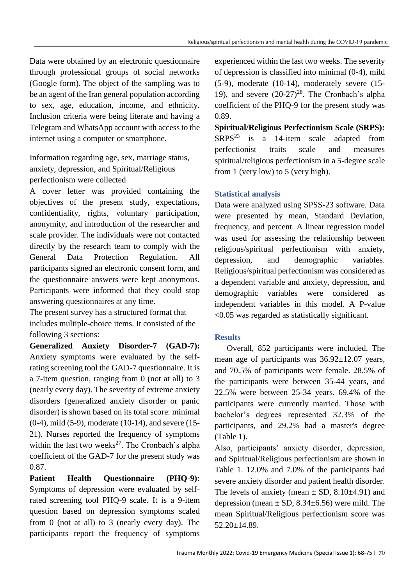Data were obtained by an electronic questionnaire through professional groups of social networks (Google form). The object of the sampling was to be an agent of the Iran general population according to sex, age, education, income, and ethnicity. Inclusion criteria were being literate and having a Telegram and WhatsApp account with access to the internet using a computer or smartphone.

Information regarding age, sex, marriage status, anxiety, depression, and Spiritual/Religious perfectionism were collected

A cover letter was provided containing the objectives of the present study, expectations, confidentiality, rights, voluntary participation, anonymity, and introduction of the researcher and scale provider. The individuals were not contacted directly by the research team to comply with the General Data Protection Regulation. All participants signed an electronic consent form, and the questionnaire answers were kept anonymous. Participants were informed that they could stop answering questionnaires at any time.

The present survey has a structured format that includes multiple-choice items. It consisted of the following 3 sections:

**Generalized Anxiety Disorder-7 (GAD-7):**  Anxiety symptoms were evaluated by the selfrating screening tool the GAD-7 questionnaire. It is a 7-item question, ranging from 0 (not at all) to 3 (nearly every day). The severity of extreme anxiety disorders (generalized anxiety disorder or panic disorder) is shown based on its total score: minimal (0-4), mild (5-9), moderate (10-14), and severe (15- 21). Nurses reported the frequency of symptoms within the last two weeks $^{27}$ . The Cronbach's alpha coefficient of the GAD-7 for the present study was 0.87.

**Patient Health Questionnaire (PHQ-9):**  Symptoms of depression were evaluated by selfrated screening tool PHQ-9 scale. It is a 9-item question based on depression symptoms scaled from 0 (not at all) to 3 (nearly every day). The participants report the frequency of symptoms

experienced within the last two weeks. The severity of depression is classified into minimal (0-4), mild (5-9), moderate (10-14), moderately severe (15- 19), and severe  $(20-27)^{28}$ . The Cronbach's alpha coefficient of the PHQ-9 for the present study was 0.89.

**Spiritual/Religious Perfectionism Scale (SRPS):**  $SRPS<sup>23</sup>$  is a 14-item scale adapted from perfectionist traits scale and measures spiritual/religious perfectionism in a 5-degree scale from 1 (very low) to 5 (very high).

# **Statistical analysis**

Data were analyzed using SPSS-23 software. Data were presented by mean, Standard Deviation, frequency, and percent. A linear regression model was used for assessing the relationship between religious/spiritual perfectionism with anxiety, depression, and demographic variables. Religious/spiritual perfectionism was considered as a dependent variable and anxiety, depression, and demographic variables were considered as independent variables in this model. A P-value <0.05 was regarded as statistically significant.

# **Results**

 Overall, 852 participants were included. The mean age of participants was  $36.92 \pm 12.07$  years, and 70.5% of participants were female. 28.5% of the participants were between 35-44 years, and 22.5% were between 25-34 years. 69.4% of the participants were currently married. Those with bachelor's degrees represented 32.3% of the participants, and 29.2% had a master's degree (Table 1).

Also, participants' anxiety disorder, depression, and Spiritual/Religious perfectionism are shown in Table 1. 12.0% and 7.0% of the participants had severe anxiety disorder and patient health disorder. The levels of anxiety (mean  $\pm$  SD, 8.10 $\pm$ 4.91) and depression (mean  $\pm$  SD, 8.34 $\pm$ 6.56) were mild. The mean Spiritual/Religious perfectionism score was 52.20±14.89.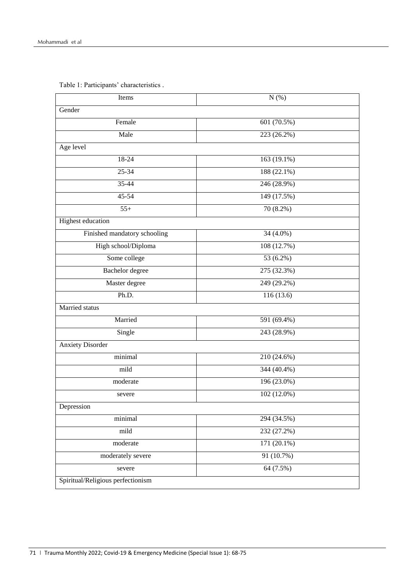| Items                             | $N$ $(\%)$  |  |  |  |  |
|-----------------------------------|-------------|--|--|--|--|
| Gender                            |             |  |  |  |  |
| Female                            | 601 (70.5%) |  |  |  |  |
| Male                              | 223 (26.2%) |  |  |  |  |
| Age level                         |             |  |  |  |  |
| 18-24                             | 163 (19.1%) |  |  |  |  |
| 25-34                             | 188 (22.1%) |  |  |  |  |
| 35-44                             | 246 (28.9%) |  |  |  |  |
| $45 - 54$                         | 149 (17.5%) |  |  |  |  |
| $55+$                             | 70 (8.2%)   |  |  |  |  |
| Highest education                 |             |  |  |  |  |
| Finished mandatory schooling      | 34 (4.0%)   |  |  |  |  |
| High school/Diploma               | 108 (12.7%) |  |  |  |  |
| Some college                      | 53 (6.2%)   |  |  |  |  |
| Bachelor degree                   | 275 (32.3%) |  |  |  |  |
| Master degree                     | 249 (29.2%) |  |  |  |  |
| Ph.D.                             | 116 (13.6)  |  |  |  |  |
| Married status                    |             |  |  |  |  |
| Married                           | 591 (69.4%) |  |  |  |  |
| Single                            | 243 (28.9%) |  |  |  |  |
| <b>Anxiety Disorder</b>           |             |  |  |  |  |
| minimal                           | 210 (24.6%) |  |  |  |  |
| mild                              | 344 (40.4%) |  |  |  |  |
| moderate                          | 196 (23.0%) |  |  |  |  |
| severe                            | 102 (12.0%) |  |  |  |  |
| Depression                        |             |  |  |  |  |
| minimal                           | 294 (34.5%) |  |  |  |  |
| mild                              | 232 (27.2%) |  |  |  |  |
| moderate                          | 171 (20.1%) |  |  |  |  |
| moderately severe                 | 91 (10.7%)  |  |  |  |  |
| severe                            | 64 (7.5%)   |  |  |  |  |
| Spiritual/Religious perfectionism |             |  |  |  |  |

Table 1: Participants' characteristics .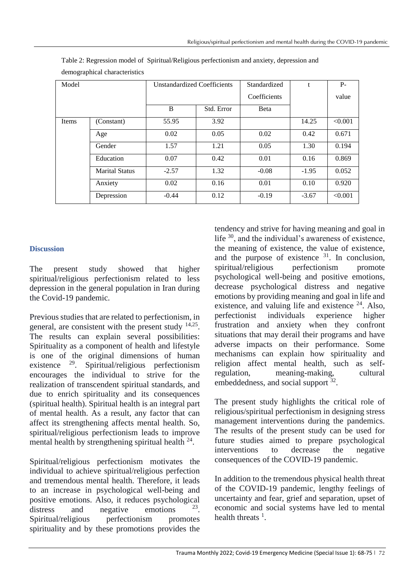| Model        |                       | <b>Unstandardized Coefficients</b> |            | Standardized | t       | $P -$   |  |  |
|--------------|-----------------------|------------------------------------|------------|--------------|---------|---------|--|--|
|              |                       |                                    |            | Coefficients |         | value   |  |  |
|              |                       | B                                  | Std. Error | Beta         |         |         |  |  |
| <b>Items</b> | (Constant)            | 55.95                              | 3.92       |              | 14.25   | < 0.001 |  |  |
|              | Age                   | 0.02                               | 0.05       | 0.02         | 0.42    | 0.671   |  |  |
|              | Gender                | 1.57                               | 1.21       | 0.05         | 1.30    | 0.194   |  |  |
|              | Education             | 0.07                               | 0.42       | 0.01         | 0.16    | 0.869   |  |  |
|              | <b>Marital Status</b> | $-2.57$                            | 1.32       | $-0.08$      | $-1.95$ | 0.052   |  |  |
|              | Anxiety               | 0.02                               | 0.16       | 0.01         | 0.10    | 0.920   |  |  |
|              | Depression            | $-0.44$                            | 0.12       | $-0.19$      | $-3.67$ | < 0.001 |  |  |

Table 2: Regression model of Spiritual/Religious perfectionism and anxiety, depression and demographical characteristics

# **Discussion**

The present study showed that higher spiritual/religious perfectionism related to less depression in the general population in Iran during the Covid-19 pandemic.

Previous studies that are related to perfectionism, in general, are consistent with the present study  $14,25$ . The results can explain several possibilities: Spirituality as a component of health and lifestyle is one of the original dimensions of human existence <sup>29</sup>. Spiritual/religious perfectionism encourages the individual to strive for the realization of transcendent spiritual standards, and due to enrich spirituality and its consequences (spiritual health). Spiritual health is an integral part of mental health. As a result, any factor that can affect its strengthening affects mental health. So, spiritual/religious perfectionism leads to improve mental health by strengthening spiritual health  $24$ .

Spiritual/religious perfectionism motivates the individual to achieve spiritual/religious perfection and tremendous mental health. Therefore, it leads to an increase in psychological well-being and positive emotions. Also, it reduces psychological distress and negative emotions . Spiritual/religious perfectionism promotes spirituality and by these promotions provides the

tendency and strive for having meaning and goal in life <sup>30</sup>, and the individual's awareness of existence, the meaning of existence, the value of existence, and the purpose of existence  $31$ . In conclusion, spiritual/religious perfectionism promote psychological well-being and positive emotions, decrease psychological distress and negative emotions by providing meaning and goal in life and existence, and valuing life and existence  $^{24}$ . Also, perfectionist individuals experience higher frustration and anxiety when they confront situations that may derail their programs and have adverse impacts on their performance. Some mechanisms can explain how spirituality and religion affect mental health, such as selfregulation, meaning-making, cultural embeddedness, and social support <sup>32</sup>.

The present study highlights the critical role of religious/spiritual perfectionism in designing stress management interventions during the pandemics. The results of the present study can be used for future studies aimed to prepare psychological interventions to decrease the negative consequences of the COVID-19 pandemic.

In addition to the tremendous physical health threat of the COVID-19 pandemic, lengthy feelings of uncertainty and fear, grief and separation, upset of economic and social systems have led to mental health threats  $<sup>1</sup>$ .</sup>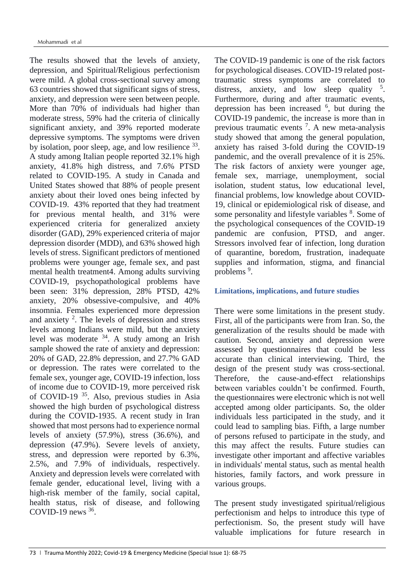The results showed that the levels of anxiety, depression, and Spiritual/Religious perfectionism were mild. A global cross-sectional survey among 63 countries showed that significant signs of stress, anxiety, and depression were seen between people. More than 70% of individuals had higher than moderate stress, 59% had the criteria of clinically significant anxiety, and 39% reported moderate depressive symptoms. The symptoms were driven by isolation, poor sleep, age, and low resilience <sup>33</sup>. A study among Italian people reported 32.1% high anxiety, 41.8% high distress, and 7.6% PTSD related to COVID-195. A study in Canada and United States showed that 88% of people present anxiety about their loved ones being infected by COVID-19. 43% reported that they had treatment for previous mental health, and 31% were experienced criteria for generalized anxiety disorder (GAD), 29% experienced criteria of major depression disorder (MDD), and 63% showed high levels of stress. Significant predictors of mentioned problems were younger age, female sex, and past mental health treatment4. Among adults surviving COVID-19, psychopathological problems have been seen: 31% depression, 28% PTSD, 42% anxiety, 20% obsessive-compulsive, and 40% insomnia. Females experienced more depression and anxiety  $2$ . The levels of depression and stress levels among Indians were mild, but the anxiety level was moderate  $34$ . A study among an Irish sample showed the rate of anxiety and depression: 20% of GAD, 22.8% depression, and 27.7% GAD or depression. The rates were correlated to the female sex, younger age, COVID-19 infection, loss of income due to COVID-19, more perceived risk of COVID-19 <sup>35</sup>. Also, previous studies in Asia showed the high burden of psychological distress during the COVID-1935. A recent study in Iran showed that most persons had to experience normal levels of anxiety (57.9%), stress (36.6%), and depression (47.9%). Severe levels of anxiety, stress, and depression were reported by 6.3%, 2.5%, and 7.9% of individuals, respectively. Anxiety and depression levels were correlated with female gender, educational level, living with a high-risk member of the family, social capital, health status, risk of disease, and following COVID-19 news  $36$ .

The COVID-19 pandemic is one of the risk factors for psychological diseases. COVID-19 related posttraumatic stress symptoms are correlated to distress, anxiety, and low sleep quality  $5$ . Furthermore, during and after traumatic events, depression has been increased <sup>6</sup>, but during the COVID-19 pandemic, the increase is more than in previous traumatic events <sup>7</sup> . A new meta-analysis study showed that among the general population, anxiety has raised 3-fold during the COVID-19 pandemic, and the overall prevalence of it is 25%. The risk factors of anxiety were younger age, female sex, marriage, unemployment, social isolation, student status, low educational level, financial problems, low knowledge about COVID-19, clinical or epidemiological risk of disease, and some personality and lifestyle variables <sup>8</sup>. Some of the psychological consequences of the COVID-19 pandemic are confusion, PTSD, and anger. Stressors involved fear of infection, long duration of quarantine, boredom, frustration, inadequate supplies and information, stigma, and financial problems<sup>9</sup>.

# **Limitations, implications, and future studies**

There were some limitations in the present study. First, all of the participants were from Iran. So, the generalization of the results should be made with caution. Second, anxiety and depression were assessed by questionnaires that could be less accurate than clinical interviewing. Third, the design of the present study was cross-sectional. Therefore, the cause-and-effect relationships between variables couldn't be confirmed. Fourth, the questionnaires were electronic which is not well accepted among older participants. So, the older individuals less participated in the study, and it could lead to sampling bias. Fifth, a large number of persons refused to participate in the study, and this may affect the results. Future studies can investigate other important and affective variables in individuals' mental status, such as mental health histories, family factors, and work pressure in various groups.

The present study investigated spiritual/religious perfectionism and helps to introduce this type of perfectionism. So, the present study will have valuable implications for future research in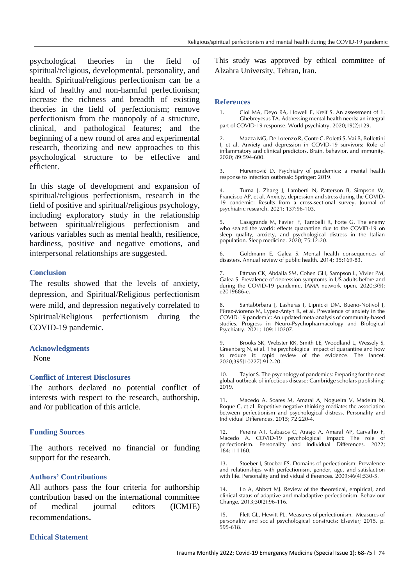psychological theories in the field of spiritual/religious, developmental, personality, and health. Spiritual/religious perfectionism can be a kind of healthy and non-harmful perfectionism; increase the richness and breadth of existing theories in the field of perfectionism; remove perfectionism from the monopoly of a structure, clinical, and pathological features; and the beginning of a new round of area and experimental research, theorizing and new approaches to this psychological structure to be effective and efficient.

In this stage of development and expansion of spiritual/religious perfectionism, research in the field of positive and spiritual/religious psychology, including exploratory study in the relationship between spiritual/religious perfectionism and various variables such as mental health, resilience, hardiness, positive and negative emotions, and interpersonal relationships are suggested.

## **Conclusion**

The results showed that the levels of anxiety, depression, and Spiritual/Religious perfectionism were mild, and depression negatively correlated to Spiritual/Religious perfectionism during the COVID-19 pandemic.

## **Acknowledgments**

None

## **Conflict of Interest Disclosures**

The authors declared no potential conflict of interests with respect to the research, authorship, and /or publication of this article.

## **Funding Sources**

The authors received no financial or funding support for the research.

# **Authors' Contributions**

All authors pass the four criteria for authorship contribution based on the international committee of medical journal editors (ICMJE) recommendations.

## **Ethical Statement**

This study was approved by ethical committee of Alzahra University, Tehran, Iran.

#### **References**

1. Ciol MA, Deyo RA, Howell E, Kreif S. An assessment of 1. Ghebreyesus TA. Addressing mental health needs: an integral part of COVID-19 response. World psychiatry. 2020;19(2):129.

2. Mazza MG, De Lorenzo R, Conte C, Poletti S, Vai B, Bollettini I, et al. Anxiety and depression in COVID-19 survivors: Role of inflammatory and clinical predictors. Brain, behavior, and immunity. 2020; 89:594-600.

3. Huremović D. Psychiatry of pandemics: a mental health response to infection outbreak: Springer; 2019.

4. Turna J, Zhang J, Lamberti N, Patterson B, Simpson W, Francisco AP, et al. Anxiety, depression and stress during the COVID-19 pandemic: Results from a cross-sectional survey. Journal of psychiatric research. 2021; 137:96-103.

5. Casagrande M, Favieri F, Tambelli R, Forte G. The enemy who sealed the world: effects quarantine due to the COVID-19 on sleep quality, anxiety, and psychological distress in the Italian population. Sleep medicine. 2020; 75:12-20.

6. Goldmann E, Galea S. Mental health consequences of disasters. Annual review of public health. 2014; 35:169-83.

Ettman CK, Abdalla SM, Cohen GH, Sampson L, Vivier PM, Galea S. Prevalence of depression symptoms in US adults before and during the COVID-19 pandemic. JAMA network open. 2020;3(9): e2019686-e.

8. Santab 6rbara J, Lasheras I, Lipnicki DM, Bueno-Notivol J, Pŭrez-Moreno M, Lypez-Antyn R, et al. Prevalence of anxiety in the COVID-19 pandemic: An updated meta-analysis of community-based studies. Progress in Neuro-Psychopharmacology and Biological Psychiatry. 2021; 109:110207.

Brooks SK, Webster RK, Smith LE, Woodland L, Wessely S, Greenberg N, et al. The psychological impact of quarantine and how to reduce it: rapid review of the evidence. The lancet. 2020;395(10227):912-20.

10. Taylor S. The psychology of pandemics: Preparing for the next global outbreak of infectious disease: Cambridge scholars publishing; 2019.

11. Macedo A, Soares M, Amaral A, Nogueira V, Madeira N, Roque C, et al. Repetitive negative thinking mediates the association between perfectionism and psychological distress. Personality and Individual Differences.  $2015$ ;  $72:220-4$ .

Pereira AT, Cabaзos C, Araъjo A, Amaral AP, Carvalho F, Macedo A. COVID-19 psychological impact: The role of perfectionism. Personality and Individual Differences. 2022; 184:111160.

13. Stoeber J, Stoeber FS. Domains of perfectionism: Prevalence and relationships with perfectionism, gender, age, and satisfaction with life. Personality and individual differences. 2009;46(4):530-5.

14. Lo A, Abbott MJ. Review of the theoretical, empirical, and clinical status of adaptive and maladaptive perfectionism. Behaviour Change. 2013;30(2):96-116.

15. Flett GL, Hewitt PL. Measures of perfectionism. Measures of personality and social psychological constructs: Elsevier; 2015. p. 595-618.